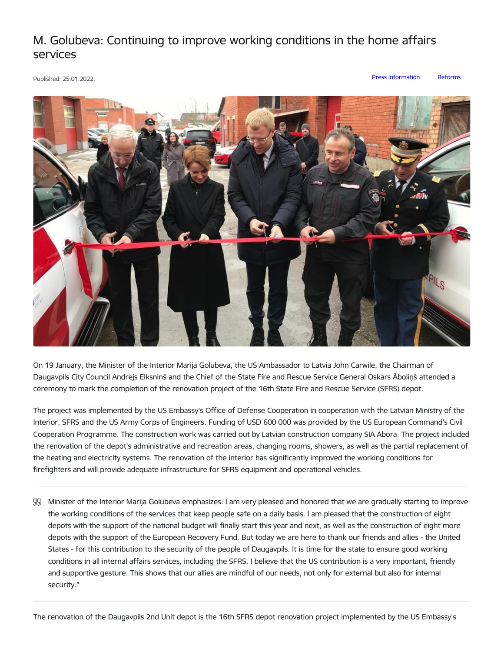## M. Golubeva: Continuing to improve working conditions in the home affairs services

Published: 25.01.2022. Press [information](https://www.iem.gov.lv/en/articles?category%255B88%255D=88) [Reforms](https://www.iem.gov.lv/en/articles?category%255B421%255D=421)



On 19 January, the Minister of the Interior Marija Golubeva, the US Ambassador to Latvia John Carwile, the Chairman of Daugavpils City Council Andrejs Elksniņš and the Chief of the State Fire and Rescue Service General Oskars Āboliņš attended a ceremony to mark the completion of the renovation project of the 16th State Fire and Rescue Service (SFRS) depot.

The project was implemented by the US Embassy's Office of Defense Cooperation in cooperation with the Latvian Ministry of the Interior, SFRS and the US Army Corps of Engineers. Funding of USD 600 000 was provided by the US European Command's Civil Cooperation Programme. The construction work was carried out by Latvian construction company SIA Abora. The project included the renovation of the depot's administrative and recreation areas, changing rooms, showers, as well as the partial replacement of the heating and electricity systems. The renovation of the interior has significantly improved the working conditions for firefighters and will provide adequate infrastructure for SFRS equipment and operational vehicles.

Minister of the Interior Marija Golubeva emphasizes: I am very pleased and honored that we are gradually starting to improve the working conditions of the services that keep people safe on a daily basis. I am pleased that the construction of eight depots with the support of the national budget will finally start this year and next, as well as the construction of eight more depots with the support of the European Recovery Fund. But today we are here to thank our friends and allies - the United States - for this contribution to the security of the people of Daugavpils. It is time for the state to ensure good working conditions in all internal affairs services, including the SFRS. I believe that the US contribution is a very important, friendly and supportive gesture. This shows that our allies are mindful of our needs, not only for external but also for internal security."

The renovation of the Daugavpils 2nd Unit depot is the 16th SFRS depot renovation project implemented by the US Embassy's